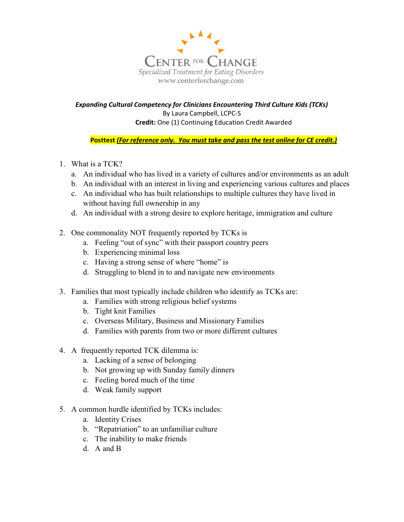

Expanding Cultural Competency for Clinicians Encountering Third Culture Kids (TCKs) By Laura Campbell, LCPC-S Credit: One (1) Continuing Education Credit Awarded

Posttest (For reference only. You must take and pass the test online for CE credit.)

- 1. What is a TCK?
	- a. An individual who has lived in a variety of cultures and/or environments as an adult
	- b. An individual with an interest in living and experiencing various cultures and places
	- c. An individual who has built relationships to multiple cultures they have lived in without having full ownership in any
	- d. An individual with a strong desire to explore heritage, immigration and culture
- 2. One commonality NOT frequently reported by TCKs is
	- a. Feeling "out of sync" with their passport country peers
	- b. Experiencing minimal loss
	- c. Having a strong sense of where "home" is
	- d. Struggling to blend in to and navigate new environments
- 3. Families that most typically include children who identify as TCKs are:
	- a. Families with strong religious belief systems
	- b. Tight knit Families
	- c. Overseas Military, Business and Missionary Families
	- d. Families with parents from two or more different cultures
- 4. A frequently reported TCK dilemma is:
	- a. Lacking of a sense of belonging
	- b. Not growing up with Sunday family dinners
	- c. Feeling bored much of the time
	- d. Weak family support
- 5. A common hurdle identified by TCKs includes:
	- a. Identity Crises
	- b. "Repatriation" to an unfamiliar culture
	- c. The inability to make friends
	- d. A and B